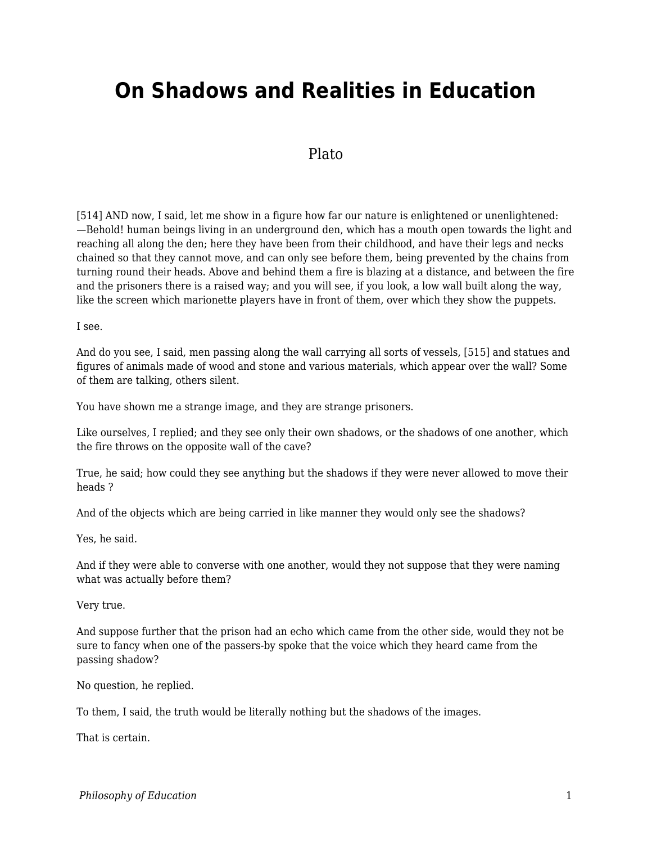# **On Shadows and Realities in Education**

# Plato

[514] AND now, I said, let me show in a figure how far our nature is enlightened or unenlightened: —Behold! human beings living in an underground den, which has a mouth open towards the light and reaching all along the den; here they have been from their childhood, and have their legs and necks chained so that they cannot move, and can only see before them, being prevented by the chains from turning round their heads. Above and behind them a fire is blazing at a distance, and between the fire and the prisoners there is a raised way; and you will see, if you look, a low wall built along the way, like the screen which marionette players have in front of them, over which they show the puppets.

I see.

And do you see, I said, men passing along the wall carrying all sorts of vessels, [515] and statues and figures of animals made of wood and stone and various materials, which appear over the wall? Some of them are talking, others silent.

You have shown me a strange image, and they are strange prisoners.

Like ourselves, I replied; and they see only their own shadows, or the shadows of one another, which the fire throws on the opposite wall of the cave?

True, he said; how could they see anything but the shadows if they were never allowed to move their heads ?

And of the objects which are being carried in like manner they would only see the shadows?

Yes, he said.

And if they were able to converse with one another, would they not suppose that they were naming what was actually before them?

Very true.

And suppose further that the prison had an echo which came from the other side, would they not be sure to fancy when one of the passers-by spoke that the voice which they heard came from the passing shadow?

No question, he replied.

To them, I said, the truth would be literally nothing but the shadows of the images.

That is certain.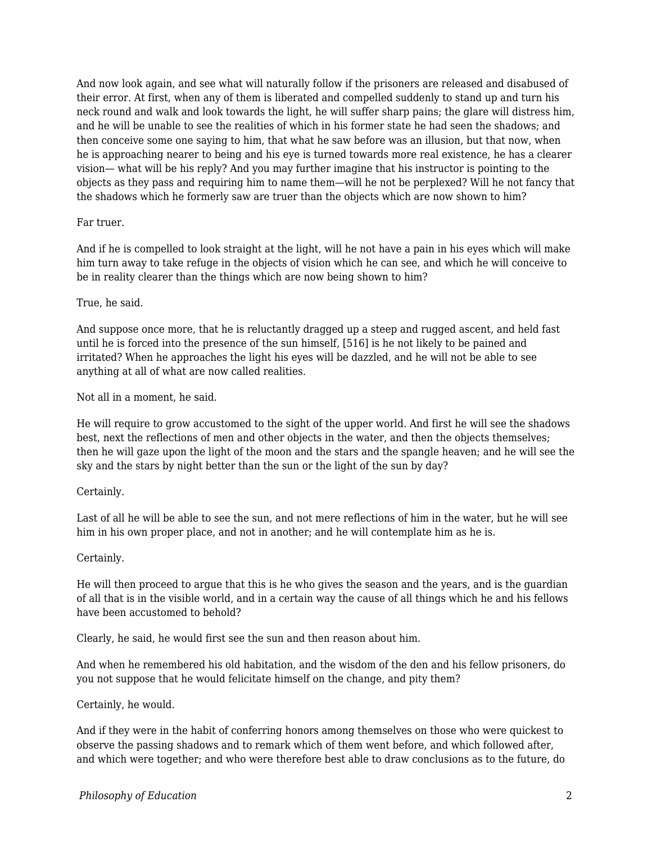And now look again, and see what will naturally follow if the prisoners are released and disabused of their error. At first, when any of them is liberated and compelled suddenly to stand up and turn his neck round and walk and look towards the light, he will suffer sharp pains; the glare will distress him, and he will be unable to see the realities of which in his former state he had seen the shadows; and then conceive some one saying to him, that what he saw before was an illusion, but that now, when he is approaching nearer to being and his eye is turned towards more real existence, he has a clearer vision— what will be his reply? And you may further imagine that his instructor is pointing to the objects as they pass and requiring him to name them—will he not be perplexed? Will he not fancy that the shadows which he formerly saw are truer than the objects which are now shown to him?

#### Far truer.

And if he is compelled to look straight at the light, will he not have a pain in his eyes which will make him turn away to take refuge in the objects of vision which he can see, and which he will conceive to be in reality clearer than the things which are now being shown to him?

#### True, he said.

And suppose once more, that he is reluctantly dragged up a steep and rugged ascent, and held fast until he is forced into the presence of the sun himself, [516] is he not likely to be pained and irritated? When he approaches the light his eyes will be dazzled, and he will not be able to see anything at all of what are now called realities.

Not all in a moment, he said.

He will require to grow accustomed to the sight of the upper world. And first he will see the shadows best, next the reflections of men and other objects in the water, and then the objects themselves; then he will gaze upon the light of the moon and the stars and the spangle heaven; and he will see the sky and the stars by night better than the sun or the light of the sun by day?

# Certainly.

Last of all he will be able to see the sun, and not mere reflections of him in the water, but he will see him in his own proper place, and not in another; and he will contemplate him as he is.

#### Certainly.

He will then proceed to argue that this is he who gives the season and the years, and is the guardian of all that is in the visible world, and in a certain way the cause of all things which he and his fellows have been accustomed to behold?

Clearly, he said, he would first see the sun and then reason about him.

And when he remembered his old habitation, and the wisdom of the den and his fellow prisoners, do you not suppose that he would felicitate himself on the change, and pity them?

#### Certainly, he would.

And if they were in the habit of conferring honors among themselves on those who were quickest to observe the passing shadows and to remark which of them went before, and which followed after, and which were together; and who were therefore best able to draw conclusions as to the future, do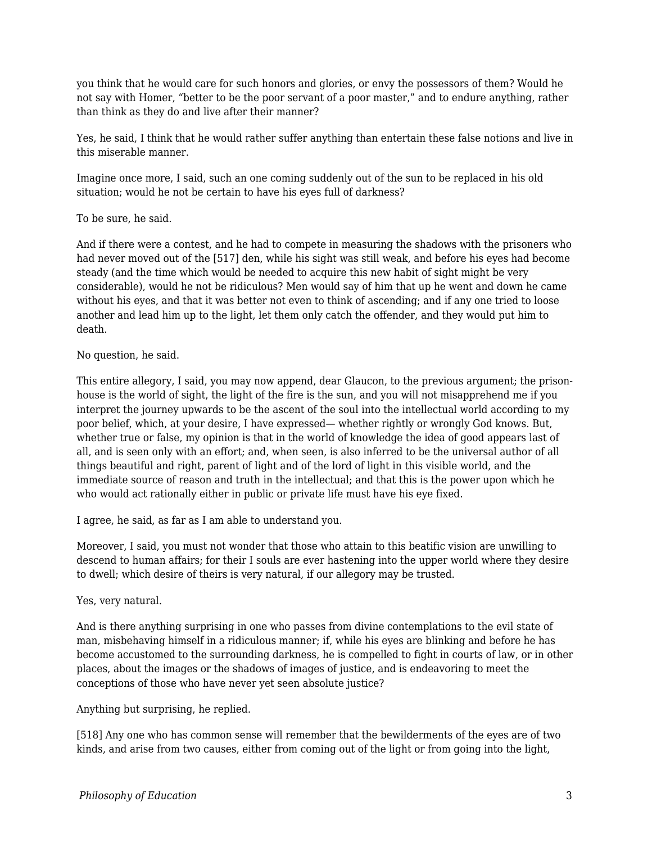you think that he would care for such honors and glories, or envy the possessors of them? Would he not say with Homer, "better to be the poor servant of a poor master," and to endure anything, rather than think as they do and live after their manner?

Yes, he said, I think that he would rather suffer anything than entertain these false notions and live in this miserable manner.

Imagine once more, I said, such an one coming suddenly out of the sun to be replaced in his old situation; would he not be certain to have his eyes full of darkness?

To be sure, he said.

And if there were a contest, and he had to compete in measuring the shadows with the prisoners who had never moved out of the [517] den, while his sight was still weak, and before his eyes had become steady (and the time which would be needed to acquire this new habit of sight might be very considerable), would he not be ridiculous? Men would say of him that up he went and down he came without his eyes, and that it was better not even to think of ascending; and if any one tried to loose another and lead him up to the light, let them only catch the offender, and they would put him to death.

## No question, he said.

This entire allegory, I said, you may now append, dear Glaucon, to the previous argument; the prisonhouse is the world of sight, the light of the fire is the sun, and you will not misapprehend me if you interpret the journey upwards to be the ascent of the soul into the intellectual world according to my poor belief, which, at your desire, I have expressed— whether rightly or wrongly God knows. But, whether true or false, my opinion is that in the world of knowledge the idea of good appears last of all, and is seen only with an effort; and, when seen, is also inferred to be the universal author of all things beautiful and right, parent of light and of the lord of light in this visible world, and the immediate source of reason and truth in the intellectual; and that this is the power upon which he who would act rationally either in public or private life must have his eye fixed.

I agree, he said, as far as I am able to understand you.

Moreover, I said, you must not wonder that those who attain to this beatific vision are unwilling to descend to human affairs; for their I souls are ever hastening into the upper world where they desire to dwell; which desire of theirs is very natural, if our allegory may be trusted.

Yes, very natural.

And is there anything surprising in one who passes from divine contemplations to the evil state of man, misbehaving himself in a ridiculous manner; if, while his eyes are blinking and before he has become accustomed to the surrounding darkness, he is compelled to fight in courts of law, or in other places, about the images or the shadows of images of justice, and is endeavoring to meet the conceptions of those who have never yet seen absolute justice?

Anything but surprising, he replied.

[518] Any one who has common sense will remember that the bewilderments of the eyes are of two kinds, and arise from two causes, either from coming out of the light or from going into the light,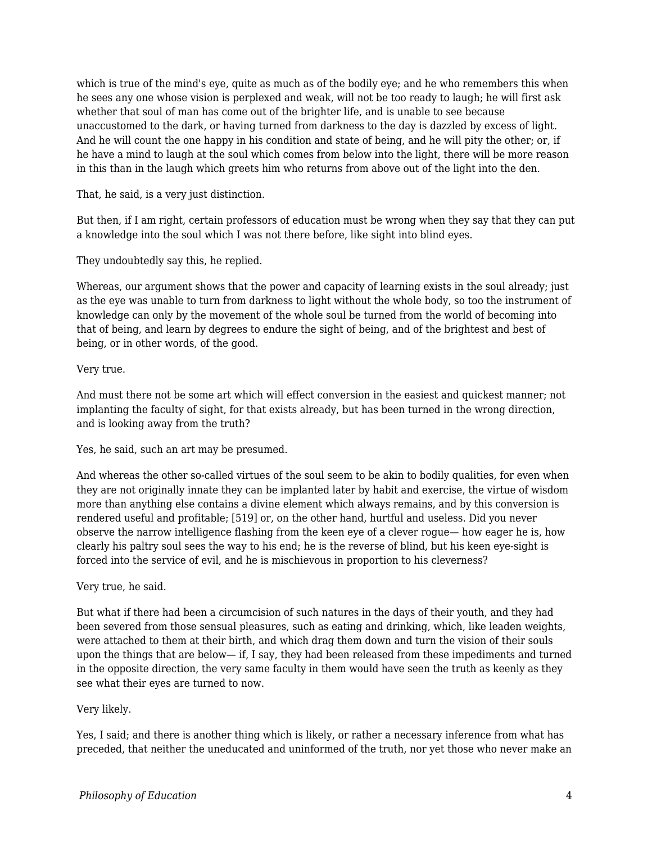which is true of the mind's eye, quite as much as of the bodily eye; and he who remembers this when he sees any one whose vision is perplexed and weak, will not be too ready to laugh; he will first ask whether that soul of man has come out of the brighter life, and is unable to see because unaccustomed to the dark, or having turned from darkness to the day is dazzled by excess of light. And he will count the one happy in his condition and state of being, and he will pity the other; or, if he have a mind to laugh at the soul which comes from below into the light, there will be more reason in this than in the laugh which greets him who returns from above out of the light into the den.

That, he said, is a very just distinction.

But then, if I am right, certain professors of education must be wrong when they say that they can put a knowledge into the soul which I was not there before, like sight into blind eyes.

They undoubtedly say this, he replied.

Whereas, our argument shows that the power and capacity of learning exists in the soul already; just as the eye was unable to turn from darkness to light without the whole body, so too the instrument of knowledge can only by the movement of the whole soul be turned from the world of becoming into that of being, and learn by degrees to endure the sight of being, and of the brightest and best of being, or in other words, of the good.

## Very true.

And must there not be some art which will effect conversion in the easiest and quickest manner; not implanting the faculty of sight, for that exists already, but has been turned in the wrong direction, and is looking away from the truth?

Yes, he said, such an art may be presumed.

And whereas the other so-called virtues of the soul seem to be akin to bodily qualities, for even when they are not originally innate they can be implanted later by habit and exercise, the virtue of wisdom more than anything else contains a divine element which always remains, and by this conversion is rendered useful and profitable; [519] or, on the other hand, hurtful and useless. Did you never observe the narrow intelligence flashing from the keen eye of a clever rogue— how eager he is, how clearly his paltry soul sees the way to his end; he is the reverse of blind, but his keen eye-sight is forced into the service of evil, and he is mischievous in proportion to his cleverness?

Very true, he said.

But what if there had been a circumcision of such natures in the days of their youth, and they had been severed from those sensual pleasures, such as eating and drinking, which, like leaden weights, were attached to them at their birth, and which drag them down and turn the vision of their souls upon the things that are below— if, I say, they had been released from these impediments and turned in the opposite direction, the very same faculty in them would have seen the truth as keenly as they see what their eyes are turned to now.

# Very likely.

Yes, I said; and there is another thing which is likely, or rather a necessary inference from what has preceded, that neither the uneducated and uninformed of the truth, nor yet those who never make an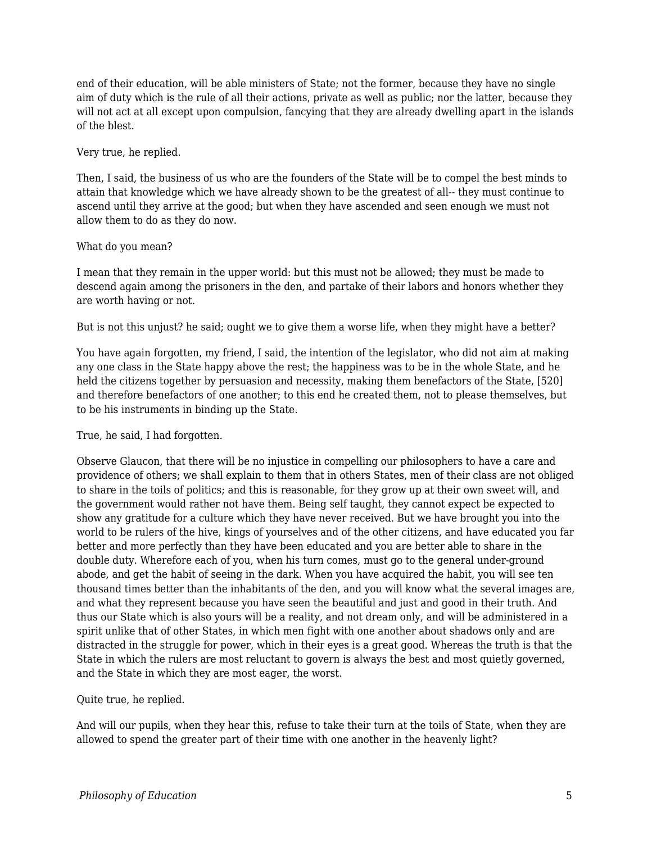end of their education, will be able ministers of State; not the former, because they have no single aim of duty which is the rule of all their actions, private as well as public; nor the latter, because they will not act at all except upon compulsion, fancying that they are already dwelling apart in the islands of the blest.

## Very true, he replied.

Then, I said, the business of us who are the founders of the State will be to compel the best minds to attain that knowledge which we have already shown to be the greatest of all-- they must continue to ascend until they arrive at the good; but when they have ascended and seen enough we must not allow them to do as they do now.

## What do you mean?

I mean that they remain in the upper world: but this must not be allowed; they must be made to descend again among the prisoners in the den, and partake of their labors and honors whether they are worth having or not.

But is not this unjust? he said; ought we to give them a worse life, when they might have a better?

You have again forgotten, my friend, I said, the intention of the legislator, who did not aim at making any one class in the State happy above the rest; the happiness was to be in the whole State, and he held the citizens together by persuasion and necessity, making them benefactors of the State, [520] and therefore benefactors of one another; to this end he created them, not to please themselves, but to be his instruments in binding up the State.

# True, he said, I had forgotten.

Observe Glaucon, that there will be no injustice in compelling our philosophers to have a care and providence of others; we shall explain to them that in others States, men of their class are not obliged to share in the toils of politics; and this is reasonable, for they grow up at their own sweet will, and the government would rather not have them. Being self taught, they cannot expect be expected to show any gratitude for a culture which they have never received. But we have brought you into the world to be rulers of the hive, kings of yourselves and of the other citizens, and have educated you far better and more perfectly than they have been educated and you are better able to share in the double duty. Wherefore each of you, when his turn comes, must go to the general under-ground abode, and get the habit of seeing in the dark. When you have acquired the habit, you will see ten thousand times better than the inhabitants of the den, and you will know what the several images are, and what they represent because you have seen the beautiful and just and good in their truth. And thus our State which is also yours will be a reality, and not dream only, and will be administered in a spirit unlike that of other States, in which men fight with one another about shadows only and are distracted in the struggle for power, which in their eyes is a great good. Whereas the truth is that the State in which the rulers are most reluctant to govern is always the best and most quietly governed, and the State in which they are most eager, the worst.

# Quite true, he replied.

And will our pupils, when they hear this, refuse to take their turn at the toils of State, when they are allowed to spend the greater part of their time with one another in the heavenly light?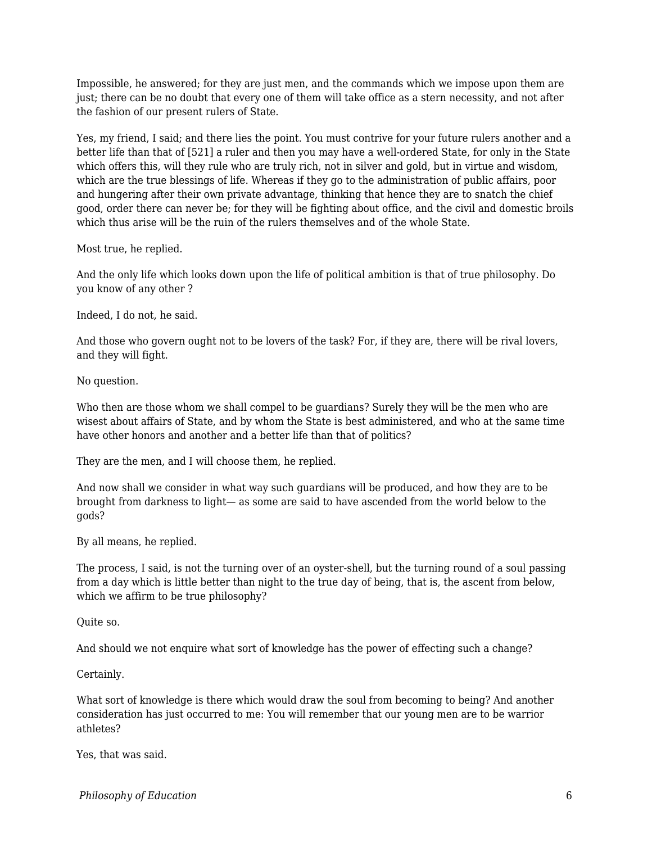Impossible, he answered; for they are just men, and the commands which we impose upon them are just; there can be no doubt that every one of them will take office as a stern necessity, and not after the fashion of our present rulers of State.

Yes, my friend, I said; and there lies the point. You must contrive for your future rulers another and a better life than that of [521] a ruler and then you may have a well-ordered State, for only in the State which offers this, will they rule who are truly rich, not in silver and gold, but in virtue and wisdom, which are the true blessings of life. Whereas if they go to the administration of public affairs, poor and hungering after their own private advantage, thinking that hence they are to snatch the chief good, order there can never be; for they will be fighting about office, and the civil and domestic broils which thus arise will be the ruin of the rulers themselves and of the whole State.

Most true, he replied.

And the only life which looks down upon the life of political ambition is that of true philosophy. Do you know of any other ?

Indeed, I do not, he said.

And those who govern ought not to be lovers of the task? For, if they are, there will be rival lovers, and they will fight.

No question.

Who then are those whom we shall compel to be guardians? Surely they will be the men who are wisest about affairs of State, and by whom the State is best administered, and who at the same time have other honors and another and a better life than that of politics?

They are the men, and I will choose them, he replied.

And now shall we consider in what way such guardians will be produced, and how they are to be brought from darkness to light— as some are said to have ascended from the world below to the gods?

By all means, he replied.

The process, I said, is not the turning over of an oyster-shell, but the turning round of a soul passing from a day which is little better than night to the true day of being, that is, the ascent from below, which we affirm to be true philosophy?

Quite so.

And should we not enquire what sort of knowledge has the power of effecting such a change?

Certainly.

What sort of knowledge is there which would draw the soul from becoming to being? And another consideration has just occurred to me: You will remember that our young men are to be warrior athletes?

Yes, that was said.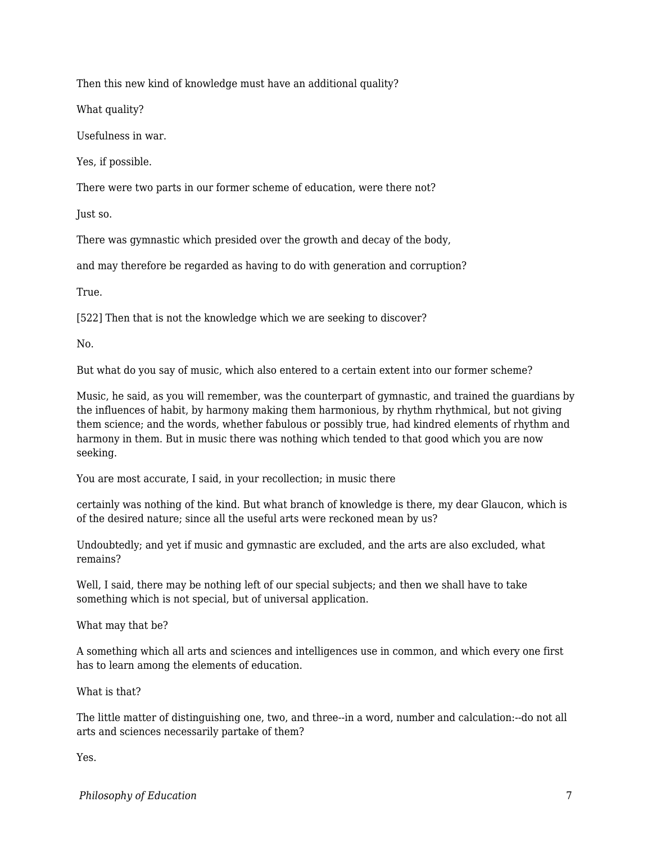Then this new kind of knowledge must have an additional quality?

What quality?

Usefulness in war.

Yes, if possible.

There were two parts in our former scheme of education, were there not?

Just so.

There was gymnastic which presided over the growth and decay of the body,

and may therefore be regarded as having to do with generation and corruption?

True.

[522] Then that is not the knowledge which we are seeking to discover?

No.

But what do you say of music, which also entered to a certain extent into our former scheme?

Music, he said, as you will remember, was the counterpart of gymnastic, and trained the guardians by the influences of habit, by harmony making them harmonious, by rhythm rhythmical, but not giving them science; and the words, whether fabulous or possibly true, had kindred elements of rhythm and harmony in them. But in music there was nothing which tended to that good which you are now seeking.

You are most accurate, I said, in your recollection; in music there

certainly was nothing of the kind. But what branch of knowledge is there, my dear Glaucon, which is of the desired nature; since all the useful arts were reckoned mean by us?

Undoubtedly; and yet if music and gymnastic are excluded, and the arts are also excluded, what remains?

Well, I said, there may be nothing left of our special subjects; and then we shall have to take something which is not special, but of universal application.

What may that be?

A something which all arts and sciences and intelligences use in common, and which every one first has to learn among the elements of education.

What is that?

The little matter of distinguishing one, two, and three--in a word, number and calculation:--do not all arts and sciences necessarily partake of them?

Yes.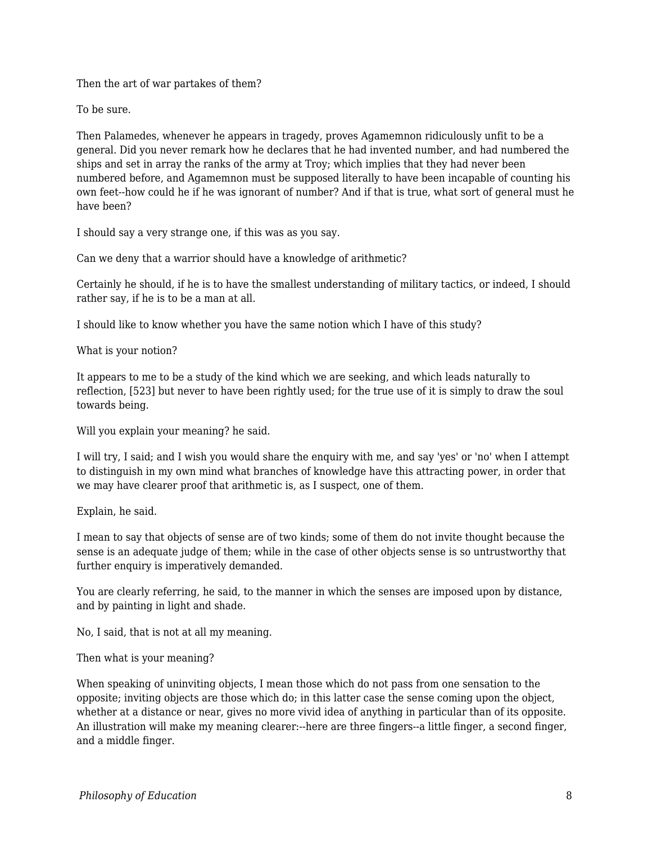Then the art of war partakes of them?

To be sure.

Then Palamedes, whenever he appears in tragedy, proves Agamemnon ridiculously unfit to be a general. Did you never remark how he declares that he had invented number, and had numbered the ships and set in array the ranks of the army at Troy; which implies that they had never been numbered before, and Agamemnon must be supposed literally to have been incapable of counting his own feet--how could he if he was ignorant of number? And if that is true, what sort of general must he have been?

I should say a very strange one, if this was as you say.

Can we deny that a warrior should have a knowledge of arithmetic?

Certainly he should, if he is to have the smallest understanding of military tactics, or indeed, I should rather say, if he is to be a man at all.

I should like to know whether you have the same notion which I have of this study?

What is your notion?

It appears to me to be a study of the kind which we are seeking, and which leads naturally to reflection, [523] but never to have been rightly used; for the true use of it is simply to draw the soul towards being.

Will you explain your meaning? he said.

I will try, I said; and I wish you would share the enquiry with me, and say 'yes' or 'no' when I attempt to distinguish in my own mind what branches of knowledge have this attracting power, in order that we may have clearer proof that arithmetic is, as I suspect, one of them.

Explain, he said.

I mean to say that objects of sense are of two kinds; some of them do not invite thought because the sense is an adequate judge of them; while in the case of other objects sense is so untrustworthy that further enquiry is imperatively demanded.

You are clearly referring, he said, to the manner in which the senses are imposed upon by distance, and by painting in light and shade.

No, I said, that is not at all my meaning.

Then what is your meaning?

When speaking of uninviting objects, I mean those which do not pass from one sensation to the opposite; inviting objects are those which do; in this latter case the sense coming upon the object, whether at a distance or near, gives no more vivid idea of anything in particular than of its opposite. An illustration will make my meaning clearer:--here are three fingers--a little finger, a second finger, and a middle finger.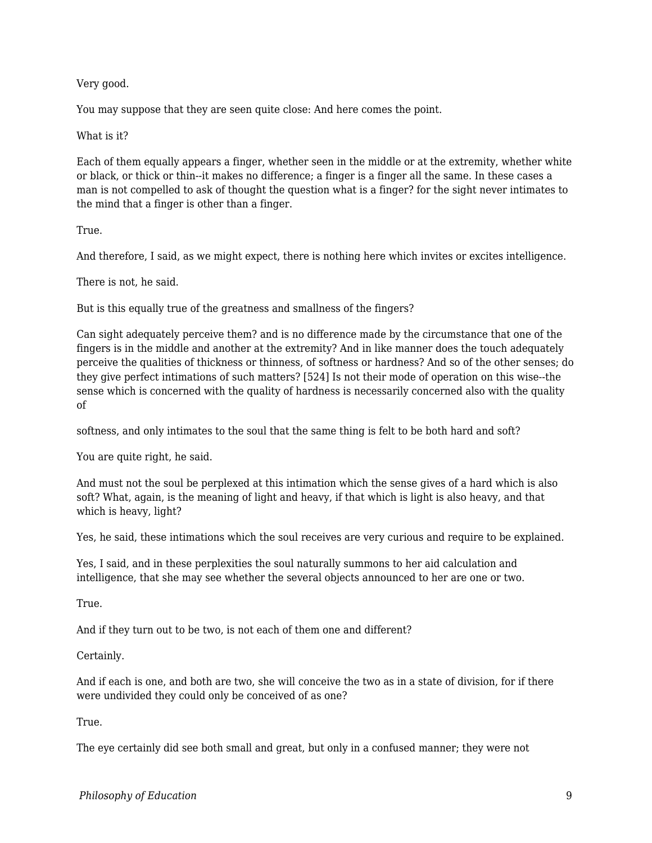# Very good.

You may suppose that they are seen quite close: And here comes the point.

#### What is it?

Each of them equally appears a finger, whether seen in the middle or at the extremity, whether white or black, or thick or thin--it makes no difference; a finger is a finger all the same. In these cases a man is not compelled to ask of thought the question what is a finger? for the sight never intimates to the mind that a finger is other than a finger.

## True.

And therefore, I said, as we might expect, there is nothing here which invites or excites intelligence.

There is not, he said.

But is this equally true of the greatness and smallness of the fingers?

Can sight adequately perceive them? and is no difference made by the circumstance that one of the fingers is in the middle and another at the extremity? And in like manner does the touch adequately perceive the qualities of thickness or thinness, of softness or hardness? And so of the other senses; do they give perfect intimations of such matters? [524] Is not their mode of operation on this wise--the sense which is concerned with the quality of hardness is necessarily concerned also with the quality of

softness, and only intimates to the soul that the same thing is felt to be both hard and soft?

You are quite right, he said.

And must not the soul be perplexed at this intimation which the sense gives of a hard which is also soft? What, again, is the meaning of light and heavy, if that which is light is also heavy, and that which is heavy, light?

Yes, he said, these intimations which the soul receives are very curious and require to be explained.

Yes, I said, and in these perplexities the soul naturally summons to her aid calculation and intelligence, that she may see whether the several objects announced to her are one or two.

True.

And if they turn out to be two, is not each of them one and different?

Certainly.

And if each is one, and both are two, she will conceive the two as in a state of division, for if there were undivided they could only be conceived of as one?

True.

The eye certainly did see both small and great, but only in a confused manner; they were not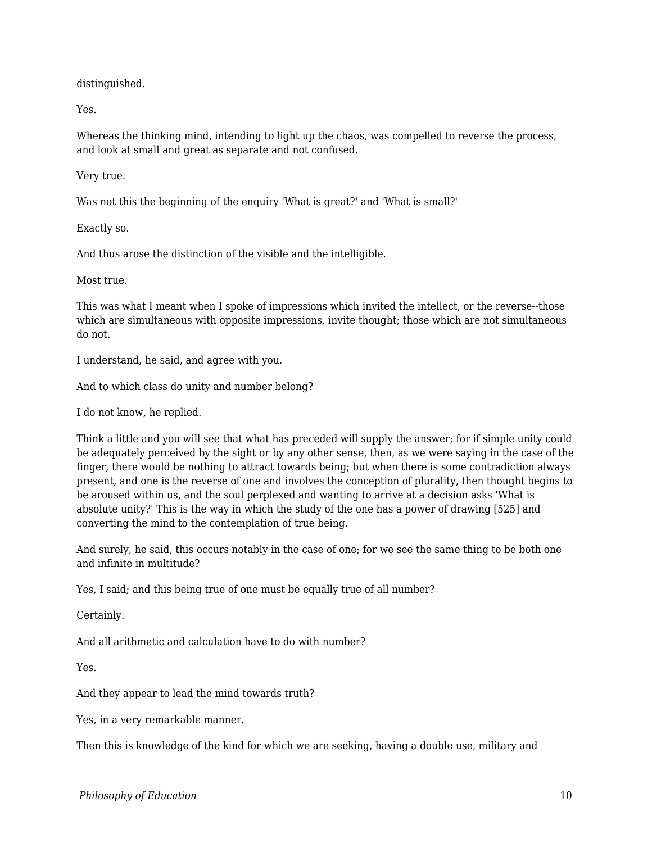distinguished.

Yes.

Whereas the thinking mind, intending to light up the chaos, was compelled to reverse the process, and look at small and great as separate and not confused.

Very true.

Was not this the beginning of the enquiry 'What is great?' and 'What is small?'

Exactly so.

And thus arose the distinction of the visible and the intelligible.

Most true.

This was what I meant when I spoke of impressions which invited the intellect, or the reverse--those which are simultaneous with opposite impressions, invite thought; those which are not simultaneous do not.

I understand, he said, and agree with you.

And to which class do unity and number belong?

I do not know, he replied.

Think a little and you will see that what has preceded will supply the answer; for if simple unity could be adequately perceived by the sight or by any other sense, then, as we were saying in the case of the finger, there would be nothing to attract towards being; but when there is some contradiction always present, and one is the reverse of one and involves the conception of plurality, then thought begins to be aroused within us, and the soul perplexed and wanting to arrive at a decision asks 'What is absolute unity?' This is the way in which the study of the one has a power of drawing [525] and converting the mind to the contemplation of true being.

And surely, he said, this occurs notably in the case of one; for we see the same thing to be both one and infinite in multitude?

Yes, I said; and this being true of one must be equally true of all number?

Certainly.

And all arithmetic and calculation have to do with number?

Yes.

And they appear to lead the mind towards truth?

Yes, in a very remarkable manner.

Then this is knowledge of the kind for which we are seeking, having a double use, military and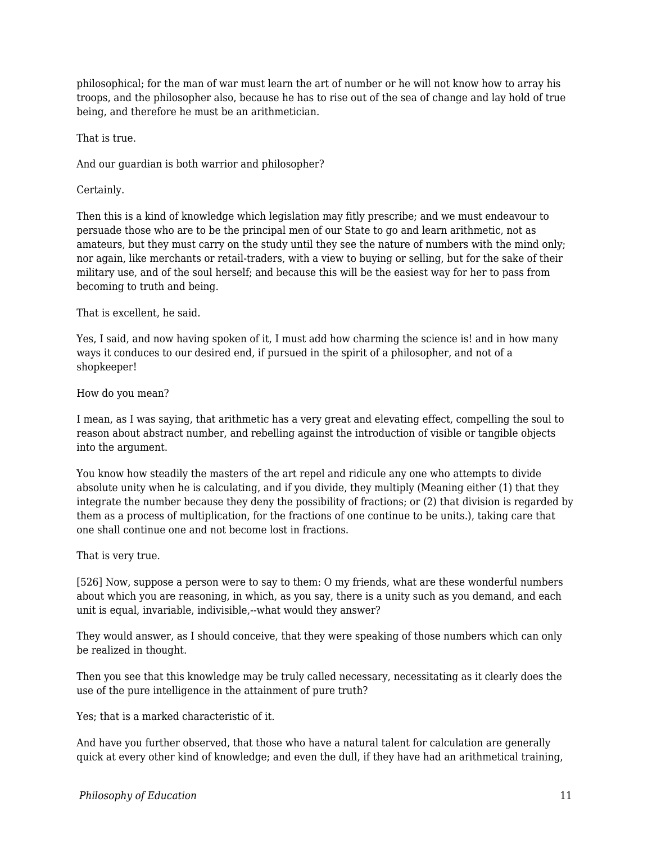philosophical; for the man of war must learn the art of number or he will not know how to array his troops, and the philosopher also, because he has to rise out of the sea of change and lay hold of true being, and therefore he must be an arithmetician.

That is true.

And our guardian is both warrior and philosopher?

Certainly.

Then this is a kind of knowledge which legislation may fitly prescribe; and we must endeavour to persuade those who are to be the principal men of our State to go and learn arithmetic, not as amateurs, but they must carry on the study until they see the nature of numbers with the mind only; nor again, like merchants or retail-traders, with a view to buying or selling, but for the sake of their military use, and of the soul herself; and because this will be the easiest way for her to pass from becoming to truth and being.

That is excellent, he said.

Yes, I said, and now having spoken of it, I must add how charming the science is! and in how many ways it conduces to our desired end, if pursued in the spirit of a philosopher, and not of a shopkeeper!

How do you mean?

I mean, as I was saying, that arithmetic has a very great and elevating effect, compelling the soul to reason about abstract number, and rebelling against the introduction of visible or tangible objects into the argument.

You know how steadily the masters of the art repel and ridicule any one who attempts to divide absolute unity when he is calculating, and if you divide, they multiply (Meaning either (1) that they integrate the number because they deny the possibility of fractions; or (2) that division is regarded by them as a process of multiplication, for the fractions of one continue to be units.), taking care that one shall continue one and not become lost in fractions.

That is very true.

[526] Now, suppose a person were to say to them: O my friends, what are these wonderful numbers about which you are reasoning, in which, as you say, there is a unity such as you demand, and each unit is equal, invariable, indivisible,--what would they answer?

They would answer, as I should conceive, that they were speaking of those numbers which can only be realized in thought.

Then you see that this knowledge may be truly called necessary, necessitating as it clearly does the use of the pure intelligence in the attainment of pure truth?

Yes; that is a marked characteristic of it.

And have you further observed, that those who have a natural talent for calculation are generally quick at every other kind of knowledge; and even the dull, if they have had an arithmetical training,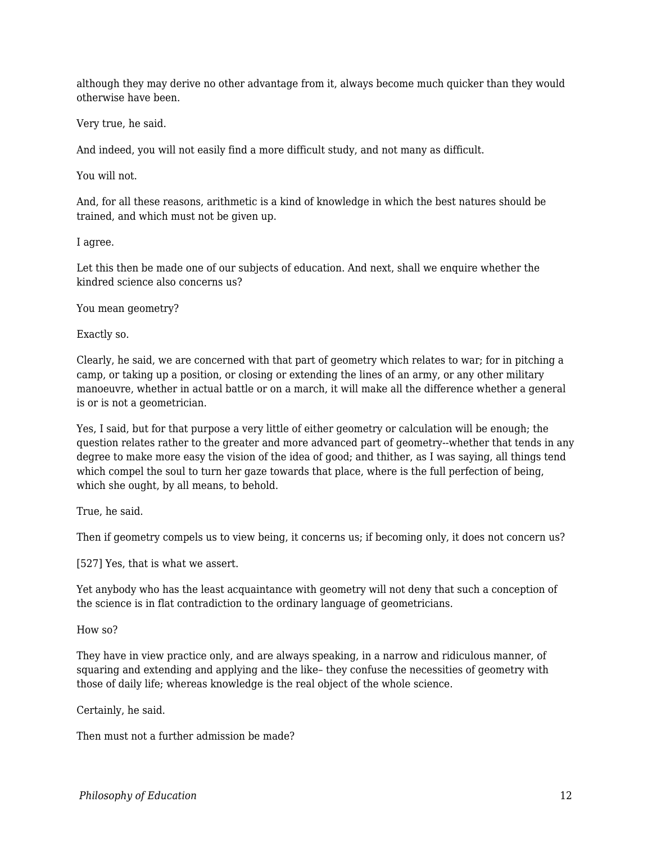although they may derive no other advantage from it, always become much quicker than they would otherwise have been.

Very true, he said.

And indeed, you will not easily find a more difficult study, and not many as difficult.

You will not.

And, for all these reasons, arithmetic is a kind of knowledge in which the best natures should be trained, and which must not be given up.

I agree.

Let this then be made one of our subjects of education. And next, shall we enquire whether the kindred science also concerns us?

You mean geometry?

Exactly so.

Clearly, he said, we are concerned with that part of geometry which relates to war; for in pitching a camp, or taking up a position, or closing or extending the lines of an army, or any other military manoeuvre, whether in actual battle or on a march, it will make all the difference whether a general is or is not a geometrician.

Yes, I said, but for that purpose a very little of either geometry or calculation will be enough; the question relates rather to the greater and more advanced part of geometry--whether that tends in any degree to make more easy the vision of the idea of good; and thither, as I was saying, all things tend which compel the soul to turn her gaze towards that place, where is the full perfection of being, which she ought, by all means, to behold.

True, he said.

Then if geometry compels us to view being, it concerns us; if becoming only, it does not concern us?

[527] Yes, that is what we assert.

Yet anybody who has the least acquaintance with geometry will not deny that such a conception of the science is in flat contradiction to the ordinary language of geometricians.

How so?

They have in view practice only, and are always speaking, in a narrow and ridiculous manner, of squaring and extending and applying and the like– they confuse the necessities of geometry with those of daily life; whereas knowledge is the real object of the whole science.

Certainly, he said.

Then must not a further admission be made?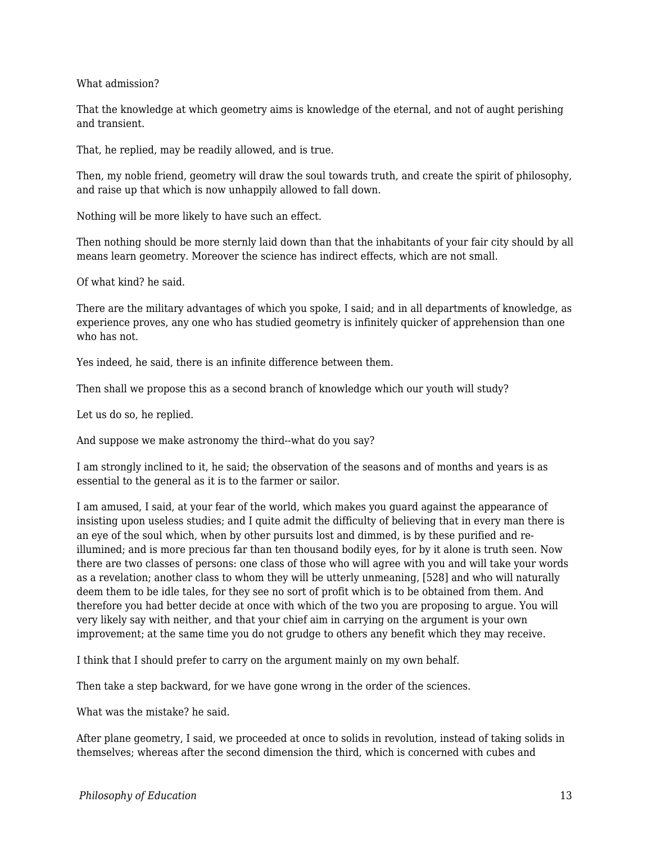What admission?

That the knowledge at which geometry aims is knowledge of the eternal, and not of aught perishing and transient.

That, he replied, may be readily allowed, and is true.

Then, my noble friend, geometry will draw the soul towards truth, and create the spirit of philosophy, and raise up that which is now unhappily allowed to fall down.

Nothing will be more likely to have such an effect.

Then nothing should be more sternly laid down than that the inhabitants of your fair city should by all means learn geometry. Moreover the science has indirect effects, which are not small.

Of what kind? he said.

There are the military advantages of which you spoke, I said; and in all departments of knowledge, as experience proves, any one who has studied geometry is infinitely quicker of apprehension than one who has not.

Yes indeed, he said, there is an infinite difference between them.

Then shall we propose this as a second branch of knowledge which our youth will study?

Let us do so, he replied.

And suppose we make astronomy the third--what do you say?

I am strongly inclined to it, he said; the observation of the seasons and of months and years is as essential to the general as it is to the farmer or sailor.

I am amused, I said, at your fear of the world, which makes you guard against the appearance of insisting upon useless studies; and I quite admit the difficulty of believing that in every man there is an eye of the soul which, when by other pursuits lost and dimmed, is by these purified and reillumined; and is more precious far than ten thousand bodily eyes, for by it alone is truth seen. Now there are two classes of persons: one class of those who will agree with you and will take your words as a revelation; another class to whom they will be utterly unmeaning, [528] and who will naturally deem them to be idle tales, for they see no sort of profit which is to be obtained from them. And therefore you had better decide at once with which of the two you are proposing to argue. You will very likely say with neither, and that your chief aim in carrying on the argument is your own improvement; at the same time you do not grudge to others any benefit which they may receive.

I think that I should prefer to carry on the argument mainly on my own behalf.

Then take a step backward, for we have gone wrong in the order of the sciences.

What was the mistake? he said.

After plane geometry, I said, we proceeded at once to solids in revolution, instead of taking solids in themselves; whereas after the second dimension the third, which is concerned with cubes and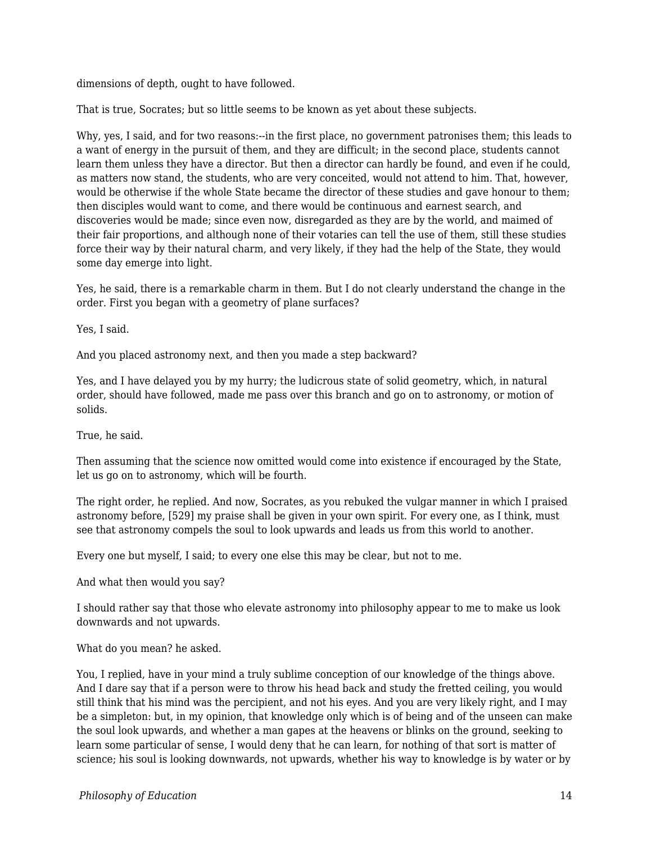dimensions of depth, ought to have followed.

That is true, Socrates; but so little seems to be known as yet about these subjects.

Why, yes, I said, and for two reasons:--in the first place, no government patronises them; this leads to a want of energy in the pursuit of them, and they are difficult; in the second place, students cannot learn them unless they have a director. But then a director can hardly be found, and even if he could, as matters now stand, the students, who are very conceited, would not attend to him. That, however, would be otherwise if the whole State became the director of these studies and gave honour to them; then disciples would want to come, and there would be continuous and earnest search, and discoveries would be made; since even now, disregarded as they are by the world, and maimed of their fair proportions, and although none of their votaries can tell the use of them, still these studies force their way by their natural charm, and very likely, if they had the help of the State, they would some day emerge into light.

Yes, he said, there is a remarkable charm in them. But I do not clearly understand the change in the order. First you began with a geometry of plane surfaces?

Yes, I said.

And you placed astronomy next, and then you made a step backward?

Yes, and I have delayed you by my hurry; the ludicrous state of solid geometry, which, in natural order, should have followed, made me pass over this branch and go on to astronomy, or motion of solids.

True, he said.

Then assuming that the science now omitted would come into existence if encouraged by the State, let us go on to astronomy, which will be fourth.

The right order, he replied. And now, Socrates, as you rebuked the vulgar manner in which I praised astronomy before, [529] my praise shall be given in your own spirit. For every one, as I think, must see that astronomy compels the soul to look upwards and leads us from this world to another.

Every one but myself, I said; to every one else this may be clear, but not to me.

And what then would you say?

I should rather say that those who elevate astronomy into philosophy appear to me to make us look downwards and not upwards.

What do you mean? he asked.

You, I replied, have in your mind a truly sublime conception of our knowledge of the things above. And I dare say that if a person were to throw his head back and study the fretted ceiling, you would still think that his mind was the percipient, and not his eyes. And you are very likely right, and I may be a simpleton: but, in my opinion, that knowledge only which is of being and of the unseen can make the soul look upwards, and whether a man gapes at the heavens or blinks on the ground, seeking to learn some particular of sense, I would deny that he can learn, for nothing of that sort is matter of science; his soul is looking downwards, not upwards, whether his way to knowledge is by water or by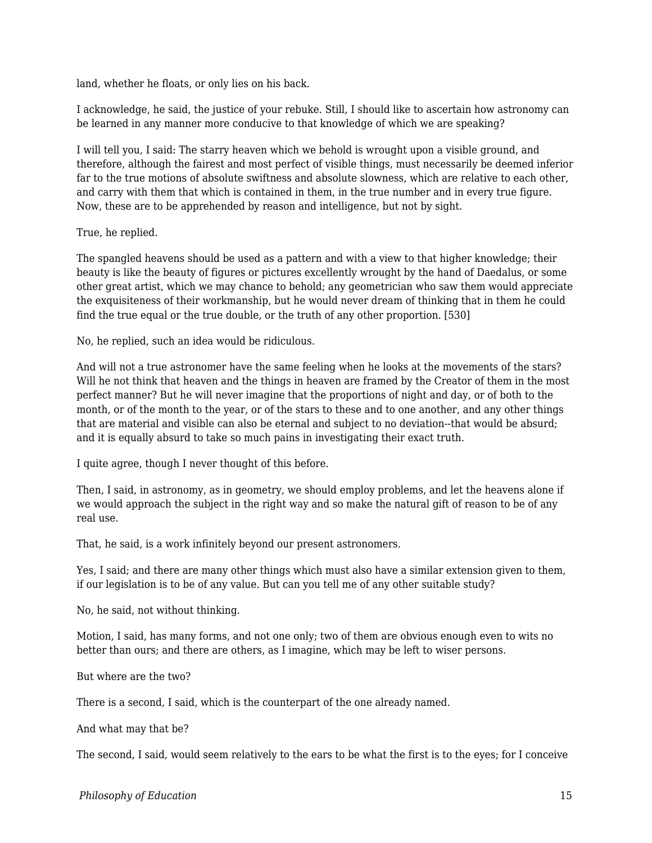land, whether he floats, or only lies on his back.

I acknowledge, he said, the justice of your rebuke. Still, I should like to ascertain how astronomy can be learned in any manner more conducive to that knowledge of which we are speaking?

I will tell you, I said: The starry heaven which we behold is wrought upon a visible ground, and therefore, although the fairest and most perfect of visible things, must necessarily be deemed inferior far to the true motions of absolute swiftness and absolute slowness, which are relative to each other, and carry with them that which is contained in them, in the true number and in every true figure. Now, these are to be apprehended by reason and intelligence, but not by sight.

True, he replied.

The spangled heavens should be used as a pattern and with a view to that higher knowledge; their beauty is like the beauty of figures or pictures excellently wrought by the hand of Daedalus, or some other great artist, which we may chance to behold; any geometrician who saw them would appreciate the exquisiteness of their workmanship, but he would never dream of thinking that in them he could find the true equal or the true double, or the truth of any other proportion. [530]

No, he replied, such an idea would be ridiculous.

And will not a true astronomer have the same feeling when he looks at the movements of the stars? Will he not think that heaven and the things in heaven are framed by the Creator of them in the most perfect manner? But he will never imagine that the proportions of night and day, or of both to the month, or of the month to the year, or of the stars to these and to one another, and any other things that are material and visible can also be eternal and subject to no deviation--that would be absurd; and it is equally absurd to take so much pains in investigating their exact truth.

I quite agree, though I never thought of this before.

Then, I said, in astronomy, as in geometry, we should employ problems, and let the heavens alone if we would approach the subject in the right way and so make the natural gift of reason to be of any real use.

That, he said, is a work infinitely beyond our present astronomers.

Yes, I said; and there are many other things which must also have a similar extension given to them, if our legislation is to be of any value. But can you tell me of any other suitable study?

No, he said, not without thinking.

Motion, I said, has many forms, and not one only; two of them are obvious enough even to wits no better than ours; and there are others, as I imagine, which may be left to wiser persons.

But where are the two?

There is a second, I said, which is the counterpart of the one already named.

And what may that be?

The second, I said, would seem relatively to the ears to be what the first is to the eyes; for I conceive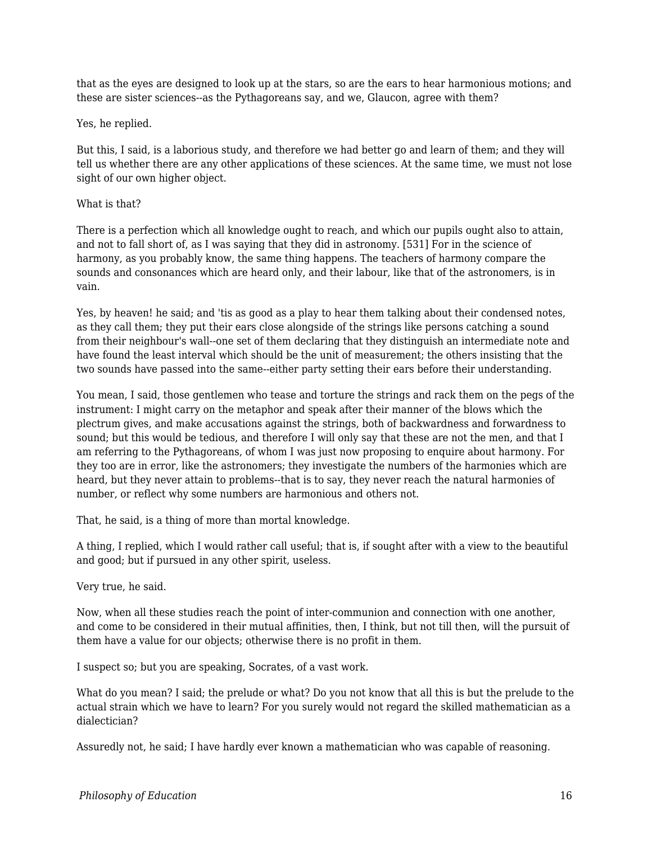that as the eyes are designed to look up at the stars, so are the ears to hear harmonious motions; and these are sister sciences--as the Pythagoreans say, and we, Glaucon, agree with them?

#### Yes, he replied.

But this, I said, is a laborious study, and therefore we had better go and learn of them; and they will tell us whether there are any other applications of these sciences. At the same time, we must not lose sight of our own higher object.

#### What is that?

There is a perfection which all knowledge ought to reach, and which our pupils ought also to attain, and not to fall short of, as I was saying that they did in astronomy. [531] For in the science of harmony, as you probably know, the same thing happens. The teachers of harmony compare the sounds and consonances which are heard only, and their labour, like that of the astronomers, is in vain.

Yes, by heaven! he said; and 'tis as good as a play to hear them talking about their condensed notes, as they call them; they put their ears close alongside of the strings like persons catching a sound from their neighbour's wall--one set of them declaring that they distinguish an intermediate note and have found the least interval which should be the unit of measurement; the others insisting that the two sounds have passed into the same--either party setting their ears before their understanding.

You mean, I said, those gentlemen who tease and torture the strings and rack them on the pegs of the instrument: I might carry on the metaphor and speak after their manner of the blows which the plectrum gives, and make accusations against the strings, both of backwardness and forwardness to sound; but this would be tedious, and therefore I will only say that these are not the men, and that I am referring to the Pythagoreans, of whom I was just now proposing to enquire about harmony. For they too are in error, like the astronomers; they investigate the numbers of the harmonies which are heard, but they never attain to problems--that is to say, they never reach the natural harmonies of number, or reflect why some numbers are harmonious and others not.

That, he said, is a thing of more than mortal knowledge.

A thing, I replied, which I would rather call useful; that is, if sought after with a view to the beautiful and good; but if pursued in any other spirit, useless.

Very true, he said.

Now, when all these studies reach the point of inter-communion and connection with one another, and come to be considered in their mutual affinities, then, I think, but not till then, will the pursuit of them have a value for our objects; otherwise there is no profit in them.

I suspect so; but you are speaking, Socrates, of a vast work.

What do you mean? I said; the prelude or what? Do you not know that all this is but the prelude to the actual strain which we have to learn? For you surely would not regard the skilled mathematician as a dialectician?

Assuredly not, he said; I have hardly ever known a mathematician who was capable of reasoning.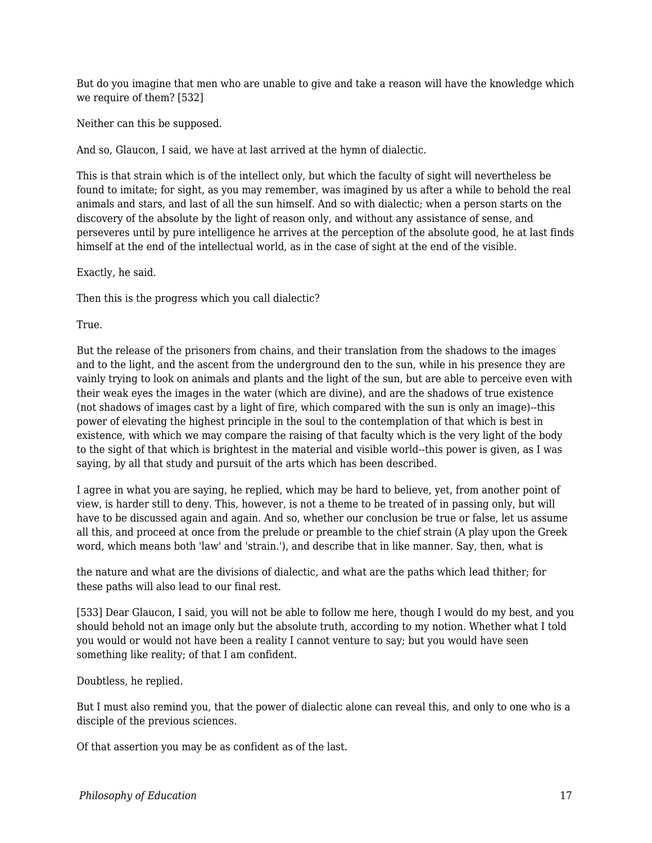But do you imagine that men who are unable to give and take a reason will have the knowledge which we require of them? [532]

Neither can this be supposed.

And so, Glaucon, I said, we have at last arrived at the hymn of dialectic.

This is that strain which is of the intellect only, but which the faculty of sight will nevertheless be found to imitate; for sight, as you may remember, was imagined by us after a while to behold the real animals and stars, and last of all the sun himself. And so with dialectic; when a person starts on the discovery of the absolute by the light of reason only, and without any assistance of sense, and perseveres until by pure intelligence he arrives at the perception of the absolute good, he at last finds himself at the end of the intellectual world, as in the case of sight at the end of the visible.

Exactly, he said.

Then this is the progress which you call dialectic?

True.

But the release of the prisoners from chains, and their translation from the shadows to the images and to the light, and the ascent from the underground den to the sun, while in his presence they are vainly trying to look on animals and plants and the light of the sun, but are able to perceive even with their weak eyes the images in the water (which are divine), and are the shadows of true existence (not shadows of images cast by a light of fire, which compared with the sun is only an image)--this power of elevating the highest principle in the soul to the contemplation of that which is best in existence, with which we may compare the raising of that faculty which is the very light of the body to the sight of that which is brightest in the material and visible world--this power is given, as I was saying, by all that study and pursuit of the arts which has been described.

I agree in what you are saying, he replied, which may be hard to believe, yet, from another point of view, is harder still to deny. This, however, is not a theme to be treated of in passing only, but will have to be discussed again and again. And so, whether our conclusion be true or false, let us assume all this, and proceed at once from the prelude or preamble to the chief strain (A play upon the Greek word, which means both 'law' and 'strain.'), and describe that in like manner. Say, then, what is

the nature and what are the divisions of dialectic, and what are the paths which lead thither; for these paths will also lead to our final rest.

[533] Dear Glaucon, I said, you will not be able to follow me here, though I would do my best, and you should behold not an image only but the absolute truth, according to my notion. Whether what I told you would or would not have been a reality I cannot venture to say; but you would have seen something like reality; of that I am confident.

Doubtless, he replied.

But I must also remind you, that the power of dialectic alone can reveal this, and only to one who is a disciple of the previous sciences.

Of that assertion you may be as confident as of the last.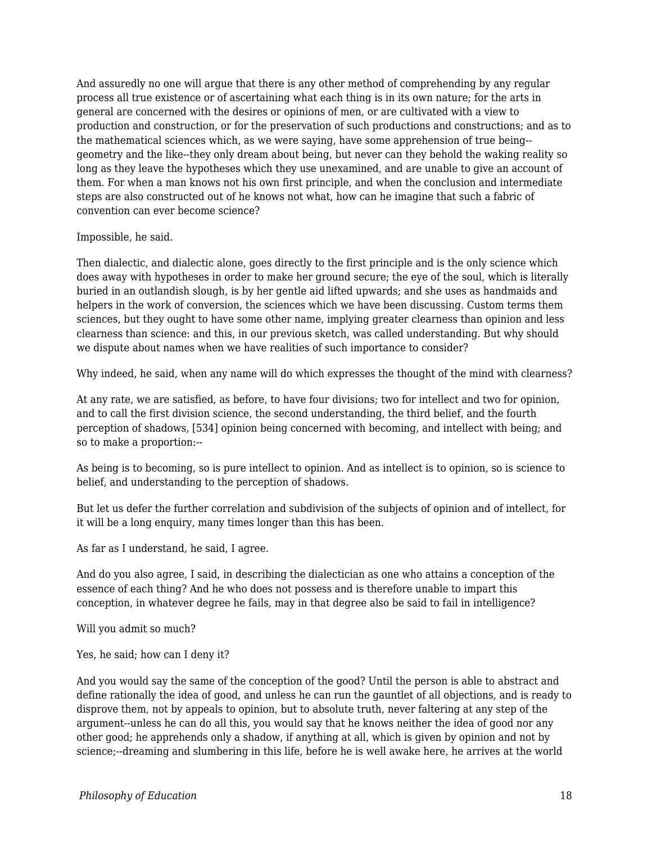And assuredly no one will argue that there is any other method of comprehending by any regular process all true existence or of ascertaining what each thing is in its own nature; for the arts in general are concerned with the desires or opinions of men, or are cultivated with a view to production and construction, or for the preservation of such productions and constructions; and as to the mathematical sciences which, as we were saying, have some apprehension of true being- geometry and the like--they only dream about being, but never can they behold the waking reality so long as they leave the hypotheses which they use unexamined, and are unable to give an account of them. For when a man knows not his own first principle, and when the conclusion and intermediate steps are also constructed out of he knows not what, how can he imagine that such a fabric of convention can ever become science?

Impossible, he said.

Then dialectic, and dialectic alone, goes directly to the first principle and is the only science which does away with hypotheses in order to make her ground secure; the eye of the soul, which is literally buried in an outlandish slough, is by her gentle aid lifted upwards; and she uses as handmaids and helpers in the work of conversion, the sciences which we have been discussing. Custom terms them sciences, but they ought to have some other name, implying greater clearness than opinion and less clearness than science: and this, in our previous sketch, was called understanding. But why should we dispute about names when we have realities of such importance to consider?

Why indeed, he said, when any name will do which expresses the thought of the mind with clearness?

At any rate, we are satisfied, as before, to have four divisions; two for intellect and two for opinion, and to call the first division science, the second understanding, the third belief, and the fourth perception of shadows, [534] opinion being concerned with becoming, and intellect with being; and so to make a proportion:--

As being is to becoming, so is pure intellect to opinion. And as intellect is to opinion, so is science to belief, and understanding to the perception of shadows.

But let us defer the further correlation and subdivision of the subjects of opinion and of intellect, for it will be a long enquiry, many times longer than this has been.

As far as I understand, he said, I agree.

And do you also agree, I said, in describing the dialectician as one who attains a conception of the essence of each thing? And he who does not possess and is therefore unable to impart this conception, in whatever degree he fails, may in that degree also be said to fail in intelligence?

Will you admit so much?

Yes, he said; how can I deny it?

And you would say the same of the conception of the good? Until the person is able to abstract and define rationally the idea of good, and unless he can run the gauntlet of all objections, and is ready to disprove them, not by appeals to opinion, but to absolute truth, never faltering at any step of the argument--unless he can do all this, you would say that he knows neither the idea of good nor any other good; he apprehends only a shadow, if anything at all, which is given by opinion and not by science;--dreaming and slumbering in this life, before he is well awake here, he arrives at the world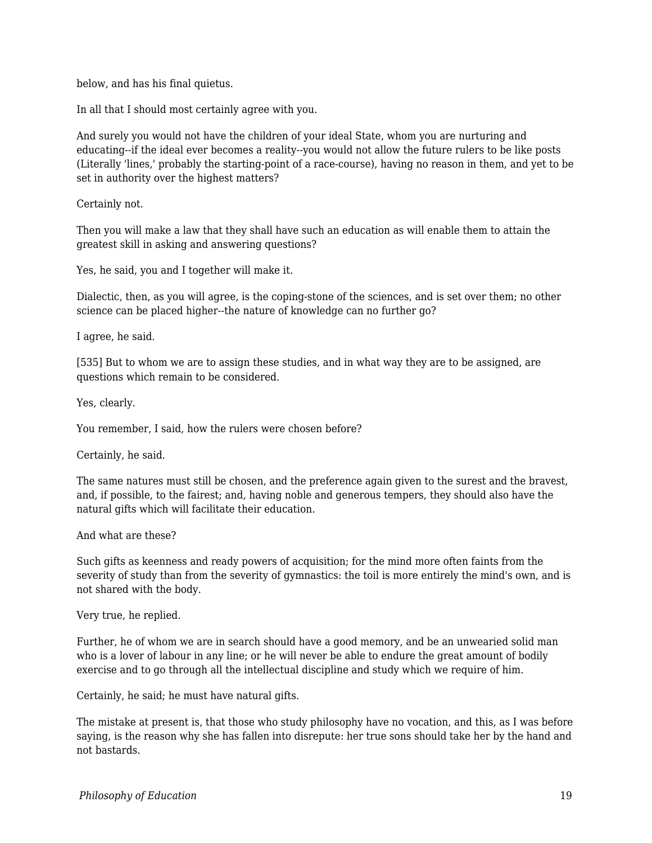below, and has his final quietus.

In all that I should most certainly agree with you.

And surely you would not have the children of your ideal State, whom you are nurturing and educating--if the ideal ever becomes a reality--you would not allow the future rulers to be like posts (Literally 'lines,' probably the starting-point of a race-course), having no reason in them, and yet to be set in authority over the highest matters?

Certainly not.

Then you will make a law that they shall have such an education as will enable them to attain the greatest skill in asking and answering questions?

Yes, he said, you and I together will make it.

Dialectic, then, as you will agree, is the coping-stone of the sciences, and is set over them; no other science can be placed higher--the nature of knowledge can no further go?

I agree, he said.

[535] But to whom we are to assign these studies, and in what way they are to be assigned, are questions which remain to be considered.

Yes, clearly.

You remember, I said, how the rulers were chosen before?

Certainly, he said.

The same natures must still be chosen, and the preference again given to the surest and the bravest, and, if possible, to the fairest; and, having noble and generous tempers, they should also have the natural gifts which will facilitate their education.

And what are these?

Such gifts as keenness and ready powers of acquisition; for the mind more often faints from the severity of study than from the severity of gymnastics: the toil is more entirely the mind's own, and is not shared with the body.

Very true, he replied.

Further, he of whom we are in search should have a good memory, and be an unwearied solid man who is a lover of labour in any line; or he will never be able to endure the great amount of bodily exercise and to go through all the intellectual discipline and study which we require of him.

Certainly, he said; he must have natural gifts.

The mistake at present is, that those who study philosophy have no vocation, and this, as I was before saying, is the reason why she has fallen into disrepute: her true sons should take her by the hand and not bastards.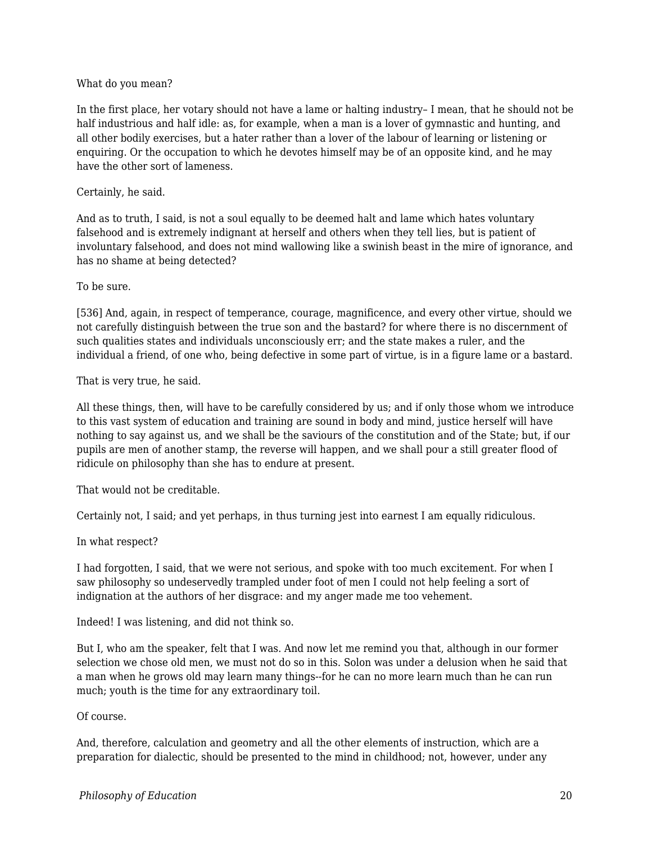#### What do you mean?

In the first place, her votary should not have a lame or halting industry– I mean, that he should not be half industrious and half idle: as, for example, when a man is a lover of gymnastic and hunting, and all other bodily exercises, but a hater rather than a lover of the labour of learning or listening or enquiring. Or the occupation to which he devotes himself may be of an opposite kind, and he may have the other sort of lameness.

#### Certainly, he said.

And as to truth, I said, is not a soul equally to be deemed halt and lame which hates voluntary falsehood and is extremely indignant at herself and others when they tell lies, but is patient of involuntary falsehood, and does not mind wallowing like a swinish beast in the mire of ignorance, and has no shame at being detected?

#### To be sure.

[536] And, again, in respect of temperance, courage, magnificence, and every other virtue, should we not carefully distinguish between the true son and the bastard? for where there is no discernment of such qualities states and individuals unconsciously err; and the state makes a ruler, and the individual a friend, of one who, being defective in some part of virtue, is in a figure lame or a bastard.

#### That is very true, he said.

All these things, then, will have to be carefully considered by us; and if only those whom we introduce to this vast system of education and training are sound in body and mind, justice herself will have nothing to say against us, and we shall be the saviours of the constitution and of the State; but, if our pupils are men of another stamp, the reverse will happen, and we shall pour a still greater flood of ridicule on philosophy than she has to endure at present.

That would not be creditable.

Certainly not, I said; and yet perhaps, in thus turning jest into earnest I am equally ridiculous.

In what respect?

I had forgotten, I said, that we were not serious, and spoke with too much excitement. For when I saw philosophy so undeservedly trampled under foot of men I could not help feeling a sort of indignation at the authors of her disgrace: and my anger made me too vehement.

Indeed! I was listening, and did not think so.

But I, who am the speaker, felt that I was. And now let me remind you that, although in our former selection we chose old men, we must not do so in this. Solon was under a delusion when he said that a man when he grows old may learn many things--for he can no more learn much than he can run much; youth is the time for any extraordinary toil.

Of course.

And, therefore, calculation and geometry and all the other elements of instruction, which are a preparation for dialectic, should be presented to the mind in childhood; not, however, under any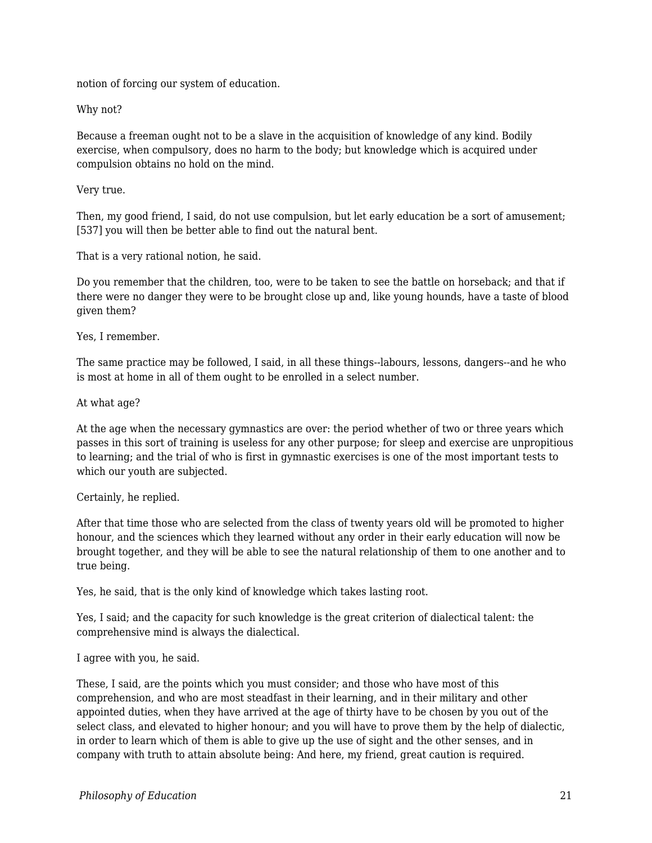notion of forcing our system of education.

Why not?

Because a freeman ought not to be a slave in the acquisition of knowledge of any kind. Bodily exercise, when compulsory, does no harm to the body; but knowledge which is acquired under compulsion obtains no hold on the mind.

Very true.

Then, my good friend, I said, do not use compulsion, but let early education be a sort of amusement; [537] you will then be better able to find out the natural bent.

That is a very rational notion, he said.

Do you remember that the children, too, were to be taken to see the battle on horseback; and that if there were no danger they were to be brought close up and, like young hounds, have a taste of blood given them?

#### Yes, I remember.

The same practice may be followed, I said, in all these things--labours, lessons, dangers--and he who is most at home in all of them ought to be enrolled in a select number.

#### At what age?

At the age when the necessary gymnastics are over: the period whether of two or three years which passes in this sort of training is useless for any other purpose; for sleep and exercise are unpropitious to learning; and the trial of who is first in gymnastic exercises is one of the most important tests to which our youth are subjected.

#### Certainly, he replied.

After that time those who are selected from the class of twenty years old will be promoted to higher honour, and the sciences which they learned without any order in their early education will now be brought together, and they will be able to see the natural relationship of them to one another and to true being.

Yes, he said, that is the only kind of knowledge which takes lasting root.

Yes, I said; and the capacity for such knowledge is the great criterion of dialectical talent: the comprehensive mind is always the dialectical.

I agree with you, he said.

These, I said, are the points which you must consider; and those who have most of this comprehension, and who are most steadfast in their learning, and in their military and other appointed duties, when they have arrived at the age of thirty have to be chosen by you out of the select class, and elevated to higher honour; and you will have to prove them by the help of dialectic, in order to learn which of them is able to give up the use of sight and the other senses, and in company with truth to attain absolute being: And here, my friend, great caution is required.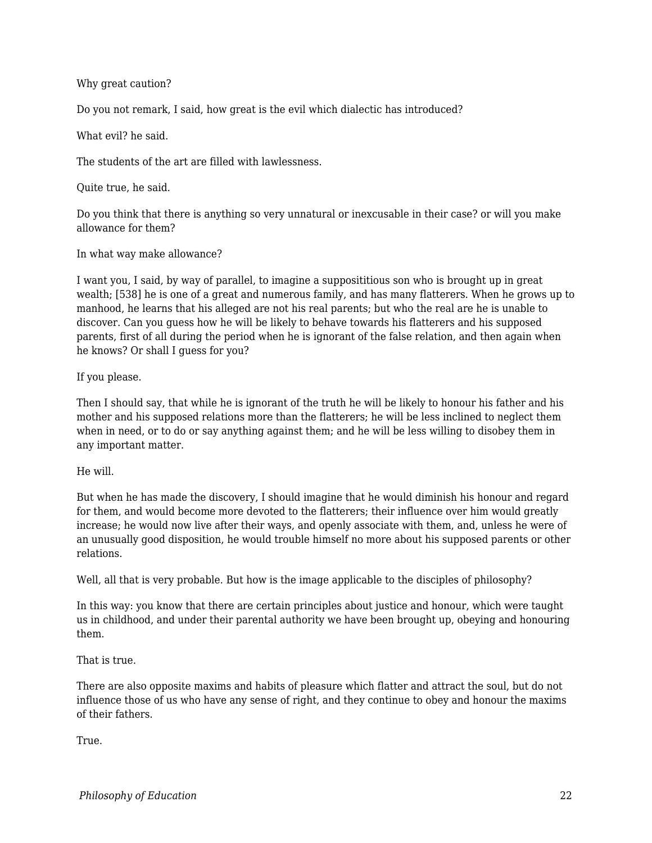#### Why great caution?

Do you not remark, I said, how great is the evil which dialectic has introduced?

What evil? he said.

The students of the art are filled with lawlessness.

Quite true, he said.

Do you think that there is anything so very unnatural or inexcusable in their case? or will you make allowance for them?

In what way make allowance?

I want you, I said, by way of parallel, to imagine a supposititious son who is brought up in great wealth; [538] he is one of a great and numerous family, and has many flatterers. When he grows up to manhood, he learns that his alleged are not his real parents; but who the real are he is unable to discover. Can you guess how he will be likely to behave towards his flatterers and his supposed parents, first of all during the period when he is ignorant of the false relation, and then again when he knows? Or shall I guess for you?

If you please.

Then I should say, that while he is ignorant of the truth he will be likely to honour his father and his mother and his supposed relations more than the flatterers; he will be less inclined to neglect them when in need, or to do or say anything against them; and he will be less willing to disobey them in any important matter.

He will.

But when he has made the discovery, I should imagine that he would diminish his honour and regard for them, and would become more devoted to the flatterers; their influence over him would greatly increase; he would now live after their ways, and openly associate with them, and, unless he were of an unusually good disposition, he would trouble himself no more about his supposed parents or other relations.

Well, all that is very probable. But how is the image applicable to the disciples of philosophy?

In this way: you know that there are certain principles about justice and honour, which were taught us in childhood, and under their parental authority we have been brought up, obeying and honouring them.

That is true.

There are also opposite maxims and habits of pleasure which flatter and attract the soul, but do not influence those of us who have any sense of right, and they continue to obey and honour the maxims of their fathers.

True.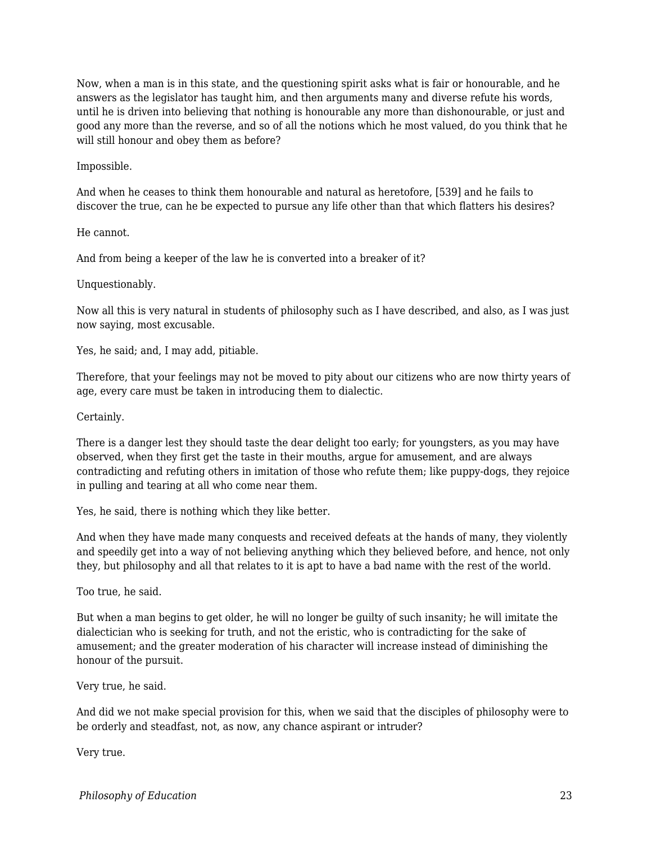Now, when a man is in this state, and the questioning spirit asks what is fair or honourable, and he answers as the legislator has taught him, and then arguments many and diverse refute his words, until he is driven into believing that nothing is honourable any more than dishonourable, or just and good any more than the reverse, and so of all the notions which he most valued, do you think that he will still honour and obey them as before?

#### Impossible.

And when he ceases to think them honourable and natural as heretofore, [539] and he fails to discover the true, can he be expected to pursue any life other than that which flatters his desires?

#### He cannot.

And from being a keeper of the law he is converted into a breaker of it?

## Unquestionably.

Now all this is very natural in students of philosophy such as I have described, and also, as I was just now saying, most excusable.

Yes, he said; and, I may add, pitiable.

Therefore, that your feelings may not be moved to pity about our citizens who are now thirty years of age, every care must be taken in introducing them to dialectic.

## Certainly.

There is a danger lest they should taste the dear delight too early; for youngsters, as you may have observed, when they first get the taste in their mouths, argue for amusement, and are always contradicting and refuting others in imitation of those who refute them; like puppy-dogs, they rejoice in pulling and tearing at all who come near them.

Yes, he said, there is nothing which they like better.

And when they have made many conquests and received defeats at the hands of many, they violently and speedily get into a way of not believing anything which they believed before, and hence, not only they, but philosophy and all that relates to it is apt to have a bad name with the rest of the world.

Too true, he said.

But when a man begins to get older, he will no longer be guilty of such insanity; he will imitate the dialectician who is seeking for truth, and not the eristic, who is contradicting for the sake of amusement; and the greater moderation of his character will increase instead of diminishing the honour of the pursuit.

Very true, he said.

And did we not make special provision for this, when we said that the disciples of philosophy were to be orderly and steadfast, not, as now, any chance aspirant or intruder?

Very true.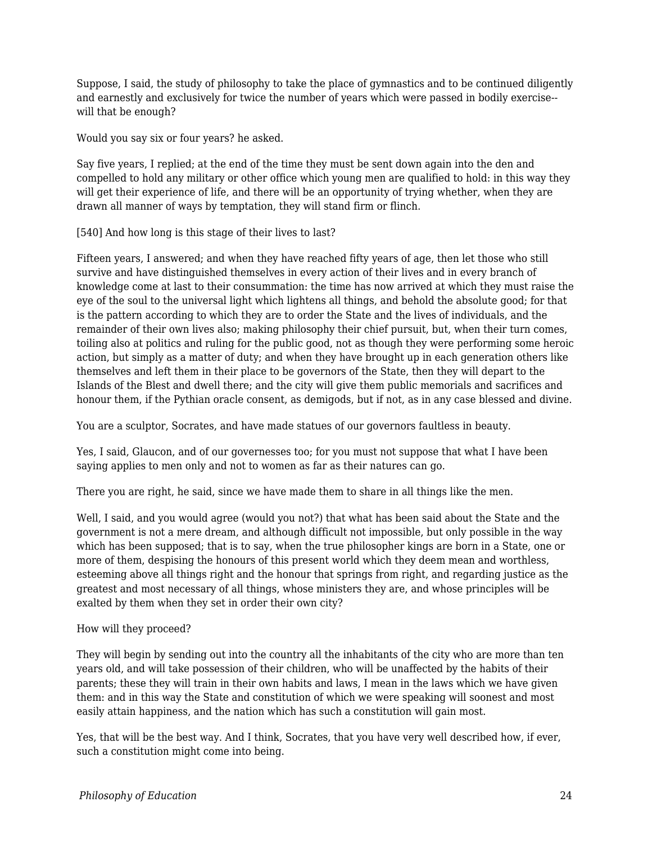Suppose, I said, the study of philosophy to take the place of gymnastics and to be continued diligently and earnestly and exclusively for twice the number of years which were passed in bodily exercise- will that be enough?

Would you say six or four years? he asked.

Say five years, I replied; at the end of the time they must be sent down again into the den and compelled to hold any military or other office which young men are qualified to hold: in this way they will get their experience of life, and there will be an opportunity of trying whether, when they are drawn all manner of ways by temptation, they will stand firm or flinch.

[540] And how long is this stage of their lives to last?

Fifteen years, I answered; and when they have reached fifty years of age, then let those who still survive and have distinguished themselves in every action of their lives and in every branch of knowledge come at last to their consummation: the time has now arrived at which they must raise the eye of the soul to the universal light which lightens all things, and behold the absolute good; for that is the pattern according to which they are to order the State and the lives of individuals, and the remainder of their own lives also; making philosophy their chief pursuit, but, when their turn comes, toiling also at politics and ruling for the public good, not as though they were performing some heroic action, but simply as a matter of duty; and when they have brought up in each generation others like themselves and left them in their place to be governors of the State, then they will depart to the Islands of the Blest and dwell there; and the city will give them public memorials and sacrifices and honour them, if the Pythian oracle consent, as demigods, but if not, as in any case blessed and divine.

You are a sculptor, Socrates, and have made statues of our governors faultless in beauty.

Yes, I said, Glaucon, and of our governesses too; for you must not suppose that what I have been saying applies to men only and not to women as far as their natures can go.

There you are right, he said, since we have made them to share in all things like the men.

Well, I said, and you would agree (would you not?) that what has been said about the State and the government is not a mere dream, and although difficult not impossible, but only possible in the way which has been supposed; that is to say, when the true philosopher kings are born in a State, one or more of them, despising the honours of this present world which they deem mean and worthless, esteeming above all things right and the honour that springs from right, and regarding justice as the greatest and most necessary of all things, whose ministers they are, and whose principles will be exalted by them when they set in order their own city?

How will they proceed?

They will begin by sending out into the country all the inhabitants of the city who are more than ten years old, and will take possession of their children, who will be unaffected by the habits of their parents; these they will train in their own habits and laws, I mean in the laws which we have given them: and in this way the State and constitution of which we were speaking will soonest and most easily attain happiness, and the nation which has such a constitution will gain most.

Yes, that will be the best way. And I think, Socrates, that you have very well described how, if ever, such a constitution might come into being.